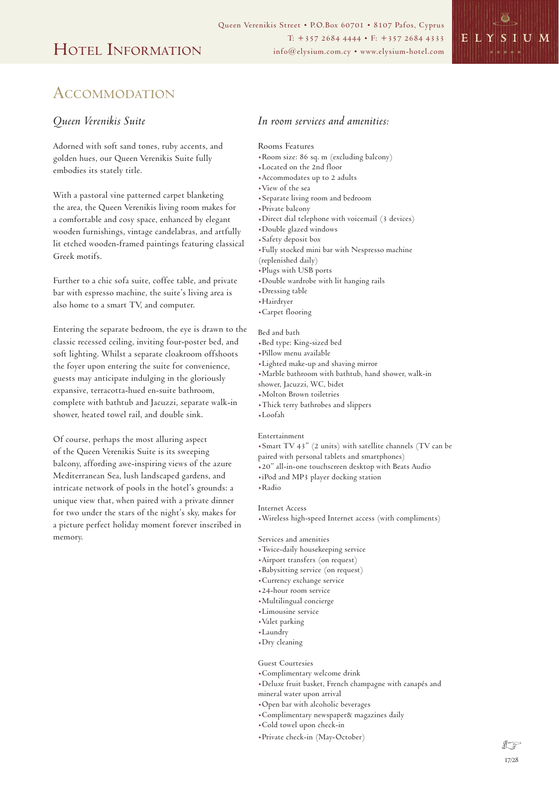

# ACCOMMODATION

## *Queen Verenikis Suite*

Adorned with soft sand tones, ruby accents, and golden hues, our Queen Verenikis Suite fully embodies its stately title.

With a pastoral vine patterned carpet blanketing the area, the Queen Verenikis living room makes for a comfortable and cosy space, enhanced by elegant wooden furnishings, vintage candelabras, and artfully lit etched wooden-framed paintings featuring classical Greek motifs.

Further to a chic sofa suite, coffee table, and private bar with espresso machine, the suite's living area is also home to a smart TV, and computer.

Entering the separate bedroom, the eye is drawn to the classic recessed ceiling, inviting four-poster bed, and soft lighting. Whilst a separate cloakroom offshoots the foyer upon entering the suite for convenience, guests may anticipate indulging in the gloriously expansive, terracotta-hued en-suite bathroom, complete with bathtub and Jacuzzi, separate walk-in shower, heated towel rail, and double sink.

Of course, perhaps the most alluring aspect of the Queen Verenikis Suite is its sweeping balcony, affording awe-inspiring views of the azure Mediterranean Sea, lush landscaped gardens, and intricate network of pools in the hotel's grounds: a unique view that, when paired with a private dinner for two under the stars of the night's sky, makes for a picture perfect holiday moment forever inscribed in memory.

# *In room services and amenities:*

### Rooms Features

- .Room size: 86 sq. m (excluding balcony)
- .Located on the 2nd floor
- .Accommodates up to 2 adults
- .View of the sea
- .Separate living room and bedroom
- .Private balcony
- .Direct dial telephone with voicemail (3 devices)
- .Double glazed windows
- .Safety deposit box
- .Fully stocked mini bar with Nespresso machine
- (replenished daily)
- .Plugs with USB ports
- .Double wardrobe with lit hanging rails
- .Dressing table
- .Hairdryer
- .Carpet flooring

#### Bed and bath

- .Bed type: King-sized bed
- .Pillow menu available
- .Lighted make-up and shaving mirror
- .Marble bathroom with bathtub, hand shower, walk-in
- shower, Jacuzzi, WC, bidet
- .Molton Brown toiletries
- .Thick terry bathrobes and slippers
- .Loofah

## Entertainment

- .Smart TV 43" (2 units) with satellite channels (TV can be
- paired with personal tablets and smartphones)
- .20" all-in-one touchscreen desktop with Beats Audio
- .iPod and MP3 player docking station
- .Radio

### Internet Access

.Wireless high-speed Internet access (with compliments)

Services and amenities

- .Twice-daily housekeeping service
- .Airport transfers (on request)
- .Babysitting service (on request)
- .Currency exchange service
- .24-hour room service
- .Multilingual concierge
- .Limousine service
- .Valet parking
- .Laundry
- .Dry cleaning

Guest Courtesies

- .Complimentary welcome drink
- .Deluxe fruit basket, French champagne with canapés and
- mineral water upon arrival
- .Open bar with alcoholic beverages
- .Complimentary newspaper& magazines daily
- .Cold towel upon check-in
- .Private check-in (May-October)